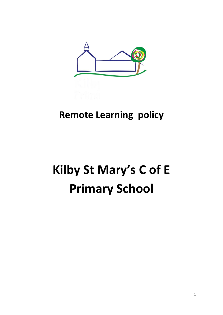

# **Remote Learning policy**

# **Kilby St Mary's C of E Primary School**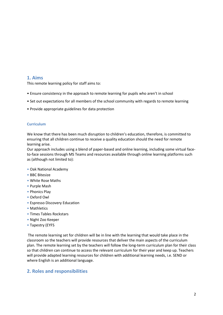## **1. Aims**

This remote learning policy for staff aims to:

- Ensure consistency in the approach to remote learning for pupils who aren't in school
- Set out expectations for all members of the school community with regards to remote learning
- Provide appropriate guidelines for data protection

#### **Curriculum**

We know that there has been much disruption to children's education, therefore, is committed to ensuring that all children continue to receive a quality education should the need for remote learning arise.

Our approach includes using a blend of paper-based and online learning, including some virtual faceto-face sessions through MS Teams and resources available through online learning platforms such as (although not limited to):

- Oak National Academy
- BBC Bitesize
- White Rose Maths
- Purple Mash
- Phonics Play
- Oxford Owl
- Espresso Discovery Education
- Mathletics
- Times Tables Rockstars
- Night Zoo Keeper
- Tapestry (EYFS

The remote learning set for children will be in line with the learning that would take place in the classroom so the teachers will provide resources that deliver the main aspects of the curriculum plan. The remote learning set by the teachers will follow the long-term curriculum plan for their class so that children can continue to access the relevant curriculum for their year and keep up. Teachers will provide adapted learning resources for children with additional learning needs, i.e. SEND or where English is an additional language.

# **2. Roles and responsibilities**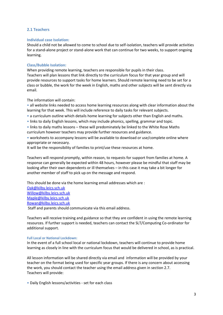#### **2.1 Teachers**

#### **Individual case Isolation:**

Should a child not be allowed to come to school due to self-isolation, teachers will provide activities for a stand-alone project or stand-alone work that can continue for two weeks, to support ongoing learning.

#### **Class/Bubble Isolation:**

When providing remote learning, teachers are responsible for pupils in their class. Teachers will plan lessons that link directly to the curriculum focus for that year group and will provide resources to support tasks for home learners. Should remote learning need to be set for a class or bubble, the work for the week in English, maths and other subjects will be sent directly via email.

The information will contain:

• all website links needed to access home learning resources along with clear information about the learning for that week. This will include reference to daily tasks for relevant subjects.

- a curriculum outline which details home learning for subjects other than English and maths.
- links to daily English lessons, which may include phonics, spelling, grammar and topic.
- links to daily maths lessons these will predominately be linked to the White Rose Maths curriculum however teachers may provide further resources and guidance.
- worksheets to accompany lessons will be available to download or use/complete online where appropriate or necessary.

It will be the responsibility of families to print/use these resources at home.

Teachers will respond promptly, within reason, to requests for support from families at home. A response can generally be expected within 48 hours, however please be mindful that staff may be looking after their own dependents or ill themselves – in this case it may take a bit longer for another member of staff to pick up on the message and respond.

This should be done via the home learning email addresses which are : [Oak@kilby.leics.sch.uk](mailto:Oak@kilby.leics.sch.uk) [Willow@kilby.leics.sch.uk](mailto:Willow@kilby.leics.sch.uk) [Maple@kilby.leics.sch.uk](mailto:Maple@kilby.leics.sch.uk) [Rowan@kilby.leics.sch.uk](mailto:Rowan@kilby.leics.sch.uk) Staff and parents should communicate via this email address.

Teachers will receive training and guidance so that they are confident in using the remote learning resources. If further support is needed, teachers can contact the SLT/Computing Co-ordinator for additional support.

#### **Full Local or National Lockdown:**

In the event of a full school local or national lockdown, teachers will continue to provide home learning as closely in line with the curriculum focus that would be delivered in school, as is practical.

All lesson information will be shared directly via email and information will be provided by your teacher on the format being used for specific year groups. If there is any concern about accessing the work, you should contact the teacher using the email address given in section 2.7. Teachers will provide:

• Daily English lessons/activities - set for each class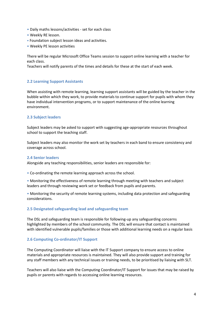- Daily maths lessons/activities set for each class
- Weekly RE lesson.
- Foundation subject lesson ideas and activities.
- Weekly PE lesson activities

There will be regular Microsoft Office Teams session to support online learning with a teacher for each class.

Teachers will notify parents of the times and details for these at the start of each week.

#### **2.2 Learning Support Assistants**

When assisting with remote learning, learning support assistants will be guided by the teacher in the bubble within which they work, to provide materials to continue support for pupils with whom they have individual intervention programs, or to support maintenance of the online learning environment.

#### **2.3 Subject leaders**

Subject leaders may be asked to support with suggesting age-appropriate resources throughout school to support the teaching staff.

Subject leaders may also monitor the work set by teachers in each band to ensure consistency and coverage across school.

#### **2.4 Senior leaders**

Alongside any teaching responsibilities, senior leaders are responsible for:

• Co-ordinating the remote learning approach across the school.

• Monitoring the effectiveness of remote learning through meeting with teachers and subject leaders and through reviewing work set or feedback from pupils and parents.

• Monitoring the security of remote learning systems, including data protection and safeguarding considerations.

#### **2.5 Designated safeguarding lead and safeguarding team**

The DSL and safeguarding team is responsible for following-up any safeguarding concerns highlighted by members of the school community. The DSL will ensure that contact is maintained with identified vulnerable pupils/families or those with additional learning needs on a regular basis

#### **2.6 Computing Co-ordinator/IT Support**

The Computing Coordinator will liaise with the IT Support company to ensure access to online materials and appropriate resources is maintained. They will also provide support and training for any staff members with any technical issues or training needs, to be prioritised by liaising with SLT.

Teachers will also liaise with the Computing Coordinator/IT Support for issues that may be raised by pupils or parents with regards to accessing online learning resources.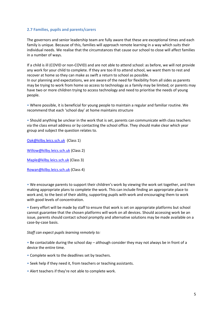#### **2.7 Families, pupils and parents/carers**

The governors and senior leadership team are fully aware that these are exceptional times and each family is unique. Because of this, families will approach remote learning in a way which suits their individual needs. We realise that the circumstances that cause our school to close will affect families in a number of ways.

If a child is ill (COVID or non-COVID) and are not able to attend school: as before, we will not provide any work for your child to complete. If they are too ill to attend school, we want them to rest and recover at home so they can make as swift a return to school as possible. In our planning and expectations, we are aware of the need for flexibility from all sides as parents may be trying to work from home so access to technology as a family may be limited; or parents may have two or more children trying to access technology and need to prioritise the needs of young people.

• Where possible, it is beneficial for young people to maintain a regular and familiar routine. We recommend that each 'school day' at home maintains structure

• Should anything be unclear in the work that is set, parents can communicate with class teachers via the class email address or by contacting the school office. They should make clear which year group and subject the question relates to.

[Oak@kilby.leics.sch.uk](mailto:Oak@kilby.leics.sch.uk) (Class 1)

[Willow@kilby.leics.sch.uk](mailto:Willow@kilby.leics.sch.uk) (Class 2)

[Maple@kilby.leics.sch.uk](mailto:Maple@kilby.leics.sch.uk) (Class 3)

[Rowan@kilby.leics.sch.uk](mailto:Rowan@kilby.leics.sch.uk) (Class 4)

• We encourage parents to support their children's work by viewing the work set together, and then making appropriate plans to complete the work. This can include finding an appropriate place to work and, to the best of their ability, supporting pupils with work and encouraging them to work with good levels of concentration.

• Every effort will be made by staff to ensure that work is set on appropriate platforms but school cannot guarantee that the chosen platforms will work on all devices. Should accessing work be an issue, parents should contact school promptly and alternative solutions may be made available on a case-by-case basis.

#### *Staff can expect pupils learning remotely to:*

• Be contactable during the school day – although consider they may not always be in front of a device the entire time.

- Complete work to the deadlines set by teachers.
- Seek help if they need it, from teachers or teaching assistants.
- Alert teachers if they're not able to complete work.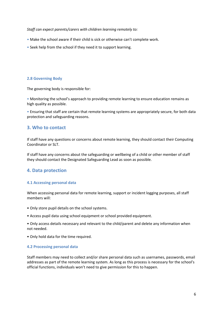*Staff can expect parents/carers with children learning remotely to:* 

- Make the school aware if their child is sick or otherwise can't complete work.
- Seek help from the school if they need it to support learning.

#### **2.8 Governing Body**

The governing body is responsible for:

• Monitoring the school's approach to providing remote learning to ensure education remains as high quality as possible.

• Ensuring that staff are certain that remote learning systems are appropriately secure, for both data protection and safeguarding reasons.

# **3. Who to contact**

If staff have any questions or concerns about remote learning, they should contact their Computing Coordinator or SLT.

If staff have any concerns about the safeguarding or wellbeing of a child or other member of staff they should contact the Designated Safeguarding Lead as soon as possible.

# **4. Data protection**

#### **4.1 Accessing personal data**

When accessing personal data for remote learning, support or incident logging purposes, all staff members will:

- Only store pupil details on the school systems.
- Access pupil data using school equipment or school provided equipment.

• Only access details necessary and relevant to the child/parent and delete any information when not needed.

• Only hold data for the time required.

#### **4.2 Processing personal data**

Staff members may need to collect and/or share personal data such as usernames, passwords, email addresses as part of the remote learning system. As long as this process is necessary for the school's official functions, individuals won't need to give permission for this to happen.